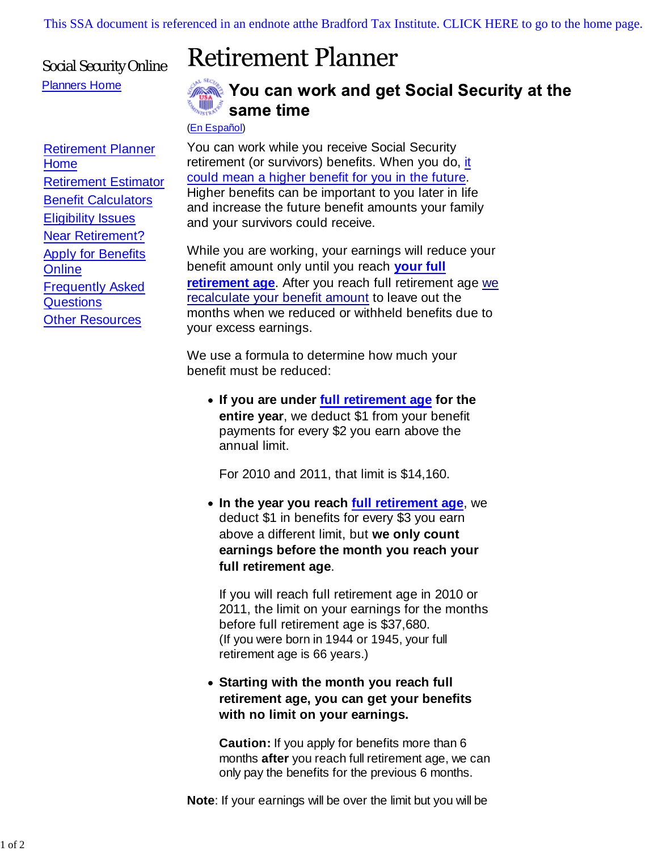[This SSA document is referenced in an endnote atthe Bradford Tax Institute. CLICK HERE to go to the home page.](http://bradfordtaxinstitute.com/index1.aspx)

## Social Security Online Planners Home

## **Retirement Planner**



## You can work and get Social Security at the same time

(En Español)

You can work while you receive Social Security retirement (or survivors) benefits. When you do, it could mean a higher benefit for you in the future. Higher benefits can be important to you later in life and increase the future benefit amounts your family and your survivors could receive.

While you are working, your earnings will reduce your benefit amount only until you reach **your full retirement age**. After you reach full retirement age we recalculate your benefit amount to leave out the months when we reduced or withheld benefits due to your excess earnings.

We use a formula to determine how much your benefit must be reduced:

**If you are under full retirement age for the entire year**, we deduct \$1 from your benefit payments for every \$2 you earn above the annual limit.

For 2010 and 2011, that limit is \$14,160.

**In the year you reach full retirement age**, we deduct \$1 in benefits for every \$3 you earn above a different limit, but **we only count earnings before the month you reach your full retirement age**.

If you will reach full retirement age in 2010 or 2011, the limit on your earnings for the months before full retirement age is \$37,680. (If you were born in 1944 or 1945, your full retirement age is 66 years.)

## **Starting with the month you reach full retirement age, you can get your benefits with no limit on your earnings.**

**Caution:** If you apply for benefits more than 6 months **after** you reach full retirement age, we can only pay the benefits for the previous 6 months.

**Note**: If your earnings will be over the limit but you will be

Retirement Planner Home Retirement Estimator Benefit Calculators **Eligibility Issues** Near Retirement? Apply for Benefits **Online** Frequently Asked **Questions Other Resources**